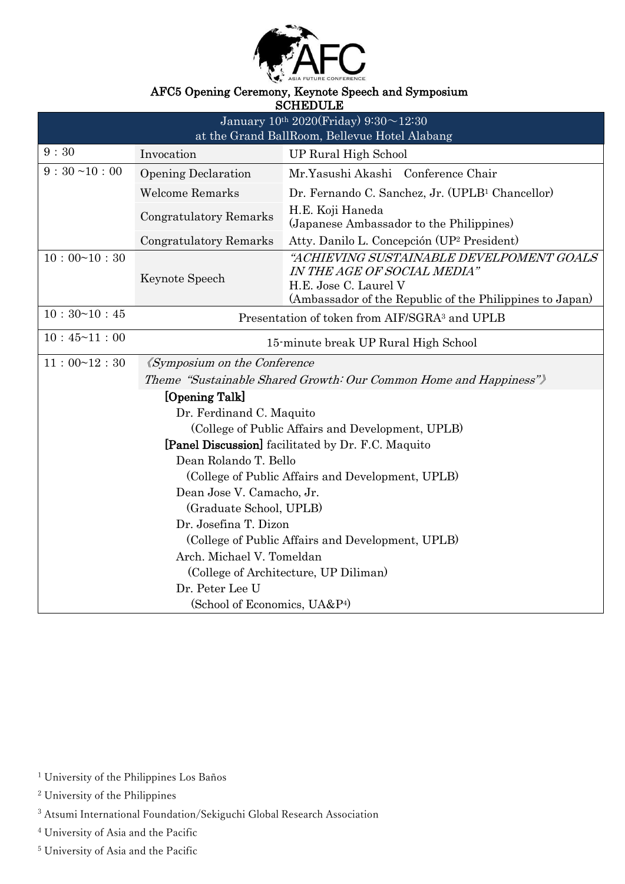

### AFC5 Opening Ceremony, Keynote Speech and Symposium

SCHEDULE

| pompo o pr                                                        |                                                           |                                                                                                                                                              |
|-------------------------------------------------------------------|-----------------------------------------------------------|--------------------------------------------------------------------------------------------------------------------------------------------------------------|
| January $10^{th}$ 2020(Friday) 9:30 $\sim$ 12:30                  |                                                           |                                                                                                                                                              |
| at the Grand BallRoom, Bellevue Hotel Alabang                     |                                                           |                                                                                                                                                              |
| 9:30                                                              | Invocation                                                | UP Rural High School                                                                                                                                         |
| $9:30$ ~10:00                                                     | <b>Opening Declaration</b>                                | Mr.Yasushi Akashi Conference Chair                                                                                                                           |
|                                                                   | <b>Welcome Remarks</b>                                    | Dr. Fernando C. Sanchez, Jr. (UPLB <sup>1</sup> Chancellor)                                                                                                  |
|                                                                   | Congratulatory Remarks                                    | H.E. Koji Haneda<br>(Japanese Ambassador to the Philippines)                                                                                                 |
|                                                                   | <b>Congratulatory Remarks</b>                             | Atty. Danilo L. Concepción (UP <sup>2</sup> President)                                                                                                       |
| 10:00~10:30                                                       | Keynote Speech                                            | "ACHIEVING SUSTAINABLE DEVELPOMENT GOALS<br>IN THE AGE OF SOCIAL MEDIA"<br>H.E. Jose C. Laurel V<br>(Ambassador of the Republic of the Philippines to Japan) |
| 10:30~10:45                                                       | Presentation of token from AIF/SGRA <sup>3</sup> and UPLB |                                                                                                                                                              |
| 10:45~11:00<br>15-minute break UP Rural High School               |                                                           |                                                                                                                                                              |
| 11:00~12:30                                                       | <i><u><b>Kymposium on the Conference</b></u></i>          |                                                                                                                                                              |
| Theme "Sustainable Shared Growth: Our Common Home and Happiness") |                                                           |                                                                                                                                                              |
| [Opening Talk]                                                    |                                                           |                                                                                                                                                              |
| Dr. Ferdinand C. Maquito                                          |                                                           |                                                                                                                                                              |
| (College of Public Affairs and Development, UPLB)                 |                                                           |                                                                                                                                                              |
| <b>[Panel Discussion]</b> facilitated by Dr. F.C. Maquito         |                                                           |                                                                                                                                                              |
| Dean Rolando T. Bello                                             |                                                           |                                                                                                                                                              |
| (College of Public Affairs and Development, UPLB)                 |                                                           |                                                                                                                                                              |
| Dean Jose V. Camacho, Jr.                                         |                                                           |                                                                                                                                                              |
| (Graduate School, UPLB)                                           |                                                           |                                                                                                                                                              |
| Dr. Josefina T. Dizon                                             |                                                           |                                                                                                                                                              |
| (College of Public Affairs and Development, UPLB)                 |                                                           |                                                                                                                                                              |
| Arch. Michael V. Tomeldan                                         |                                                           |                                                                                                                                                              |
| (College of Architecture, UP Diliman)                             |                                                           |                                                                                                                                                              |
| Dr. Peter Lee U                                                   |                                                           |                                                                                                                                                              |
| (School of Economics, UA&P <sup>4)</sup>                          |                                                           |                                                                                                                                                              |

<sup>5</sup> University of Asia and the Pacific

<sup>&</sup>lt;sup>1</sup> University of the Philippines Los Baños

<sup>2</sup> University of the Philippines

<sup>3</sup> Atsumi International Foundation/Sekiguchi Global Research Association

<sup>4</sup> University of Asia and the Pacific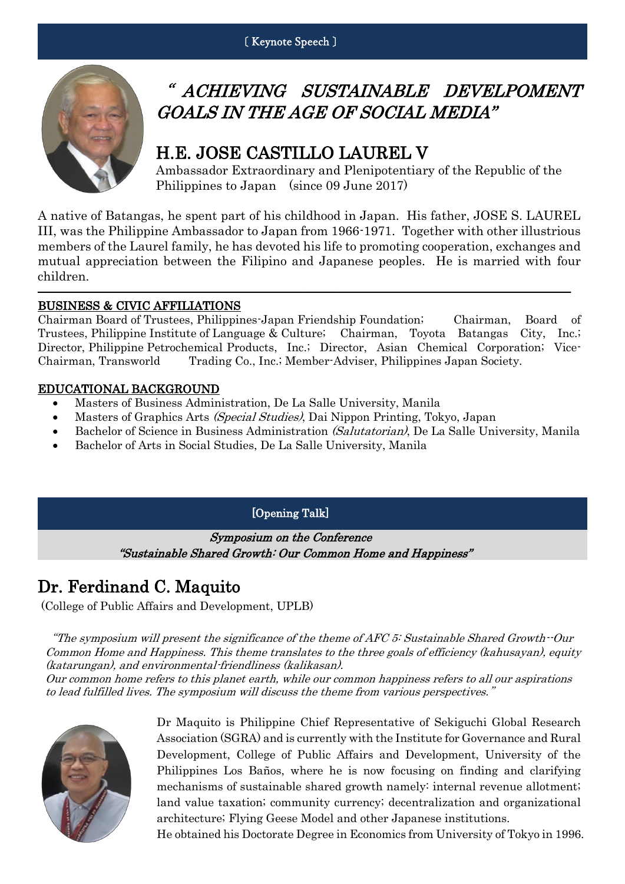

# " ACHIEVING SUSTAINABLE DEVELPOMENT GOALS IN THE AGE OF SOCIAL MEDIA"

# H.E. JOSE CASTILLO LAUREL V

Ambassador Extraordinary and Plenipotentiary of the Republic of the Philippines to Japan (since 09 June 2017)

A native of Batangas, he spent part of his childhood in Japan. His father, JOSE S. LAUREL III, was the Philippine Ambassador to Japan from 1966-1971. Together with other illustrious members of the Laurel family, he has devoted his life to promoting cooperation, exchanges and mutual appreciation between the Filipino and Japanese peoples. He is married with four children.

――――――――――――――――――――――――――――――――――――――――――――――

#### BUSINESS & CIVIC AFFILIATIONS

Chairman Board of Trustees, Philippines-Japan Friendship Foundation; Chairman, Board of Trustees, Philippine Institute of Language & Culture; Chairman, Toyota Batangas City, Inc.; Director, Philippine Petrochemical Products, Inc.; Director, Asian Chemical Corporation; Vice-Chairman, Transworld Trading Co., Inc.; Member-Adviser, Philippines Japan Society.

#### EDUCATIONAL BACKGROUND

- Masters of Business Administration, De La Salle University, Manila
- Masters of Graphics Arts (Special Studies), Dai Nippon Printing, Tokyo, Japan
- Bachelor of Science in Business Administration (Salutatorian), De La Salle University, Manila
- Bachelor of Arts in Social Studies, De La Salle University, Manila

#### [Opening Talk]

Symposium on the Conference "Sustainable Shared Growth: Our Common Home and Happiness"

# Dr. Ferdinand C. Maquito

(College of Public Affairs and Development, UPLB)

"The symposium will present the significance of the theme of AFC 5: Sustainable Shared Growth--Our Common Home and Happiness. This theme translates to the three goals of efficiency (kahusayan), equity (katarungan), and environmental-friendliness (kalikasan).

Our common home refers to this planet earth, while our common happiness refers to all our aspirations to lead fulfilled lives. The symposium will discuss the theme from various perspectives."



Dr Maquito is Philippine Chief Representative of Sekiguchi Global Research Association (SGRA) and is currently with the Institute for Governance and Rural Development, College of Public Affairs and Development, University of the Philippines Los Baños, where he is now focusing on finding and clarifying mechanisms of sustainable shared growth namely: internal revenue allotment; land value taxation; community currency; decentralization and organizational architecture; Flying Geese Model and other Japanese institutions.

He obtained his Doctorate Degree in Economics from University of Tokyo in 1996.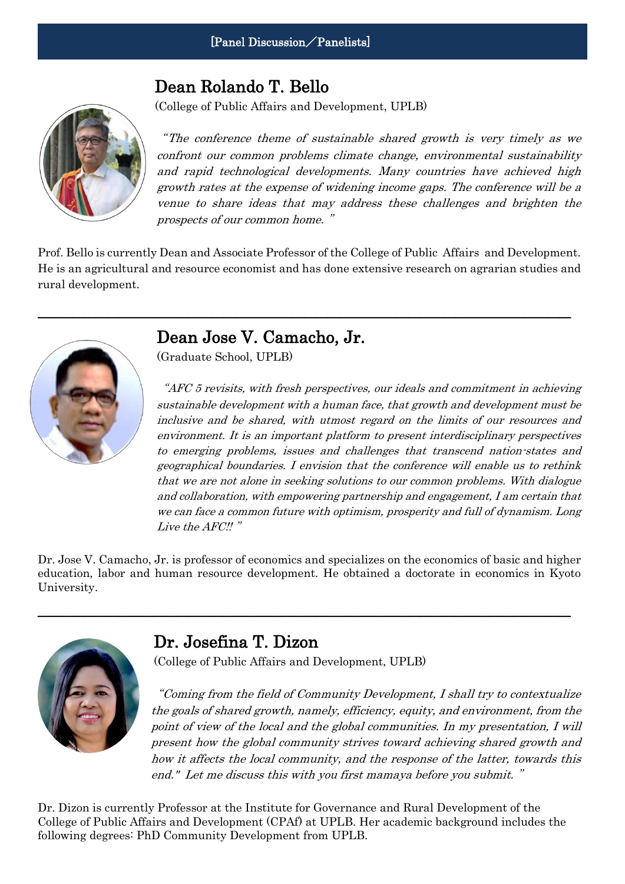## Dean Rolando T. Bello

(College of Public Affairs and Development, UPLB)



"The conference theme of sustainable shared growth is very timely as we confront our common problems climate change, environmental sustainability and rapid technological developments. Many countries have achieved high growth rates at the expense of widening income gaps. The conference will be a venue to share ideas that may address these challenges and brighten the prospects of our common home. "

Prof. Bello is currently Dean and Associate Professor of the College of Public Affairs and Development. He is an agricultural and resource economist and has done extensive research on agrarian studies and rural development.

――――――――――――――――――――――――――――――――――――――――――――――



## Dean Jose V. Camacho, Jr.

(Graduate School, UPLB)

"AFC 5 revisits, with fresh perspectives, our ideals and commitment in achieving sustainable development with a human face, that growth and development must be inclusive and be shared, with utmost regard on the limits of our resources and environment. It is an important platform to present interdisciplinary perspectives to emerging problems, issues and challenges that transcend nation-states and geographical boundaries. I envision that the conference will enable us to rethink that we are not alone in seeking solutions to our common problems. With dialogue and collaboration, with empowering partnership and engagement, I am certain that we can face a common future with optimism, prosperity and full of dynamism. Long Live the AFC!!"

Dr. Jose V. Camacho, Jr. is professor of economics and specializes on the economics of basic and higher education, labor and human resource development. He obtained a doctorate in economics in Kyoto University.

――――――――――――――――――――――――――――――――――――――――――――――



## Dr. Josefina T. Dizon

(College of Public Affairs and Development, UPLB)

"Coming from the field of Community Development, I shall try to contextualize the goals of shared growth, namely, efficiency, equity, and environment, from the point of view of the local and the global communities. In my presentation, I will present how the global community strives toward achieving shared growth and how it affects the local community, and the response of the latter, towards this end." Let me discuss this with you first mamaya before you submit. "

Dr. Dizon is currently Professor at the Institute for Governance and Rural Development of the College of Public Affairs and Development (CPAf) at UPLB. Her academic background includes the following degrees: PhD Community Development from UPLB.